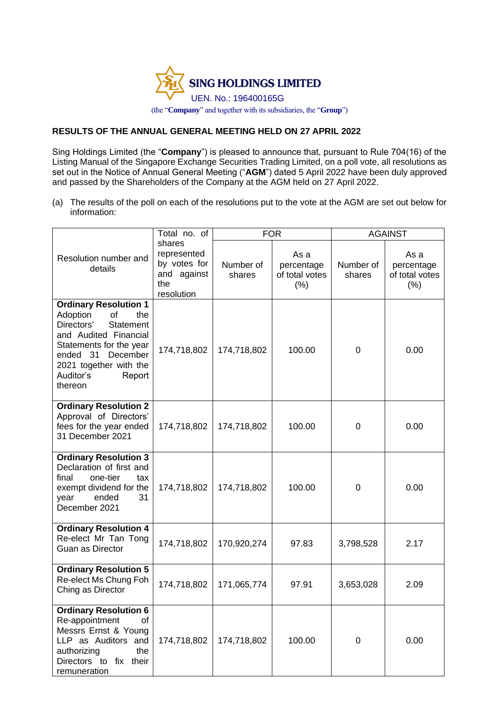

## **RESULTS OF THE ANNUAL GENERAL MEETING HELD ON 27 APRIL 2022**

Sing Holdings Limited (the "**Company**") is pleased to announce that, pursuant to Rule 704(16) of the Listing Manual of the Singapore Exchange Securities Trading Limited, on a poll vote, all resolutions as set out in the Notice of Annual General Meeting ("**AGM**") dated 5 April 2022 have been duly approved and passed by the Shareholders of the Company at the AGM held on 27 April 2022.

(a) The results of the poll on each of the resolutions put to the vote at the AGM are set out below for information:

|                                                                                                                                                                                                                          | Total no. of                                                              | <b>FOR</b>          |                                                 | <b>AGAINST</b>      |                                             |
|--------------------------------------------------------------------------------------------------------------------------------------------------------------------------------------------------------------------------|---------------------------------------------------------------------------|---------------------|-------------------------------------------------|---------------------|---------------------------------------------|
| Resolution number and<br>details                                                                                                                                                                                         | shares<br>represented<br>by votes for<br>and against<br>the<br>resolution | Number of<br>shares | As a<br>percentage<br>of total votes<br>$(\% )$ | Number of<br>shares | As a<br>percentage<br>of total votes<br>(%) |
| <b>Ordinary Resolution 1</b><br>Adoption<br>of<br>the<br>Directors'<br>Statement<br>and Audited Financial<br>Statements for the year<br>ended 31<br>December<br>2021 together with the<br>Auditor's<br>Report<br>thereon | 174,718,802                                                               | 174,718,802         | 100.00                                          | 0                   | 0.00                                        |
| <b>Ordinary Resolution 2</b><br>Approval of Directors'<br>fees for the year ended<br>31 December 2021                                                                                                                    | 174,718,802                                                               | 174,718,802         | 100.00                                          | 0                   | 0.00                                        |
| <b>Ordinary Resolution 3</b><br>Declaration of first and<br>one-tier<br>final<br>tax<br>exempt dividend for the<br>ended<br>31<br>year<br>December 2021                                                                  | 174,718,802                                                               | 174,718,802         | 100.00                                          | $\mathbf 0$         | 0.00                                        |
| <b>Ordinary Resolution 4</b><br>Re-elect Mr Tan Tong<br><b>Guan as Director</b>                                                                                                                                          | 174,718,802                                                               | 170,920,274         | 97.83                                           | 3,798,528           | 2.17                                        |
| <b>Ordinary Resolution 5</b><br>Re-elect Ms Chung Foh<br>Ching as Director                                                                                                                                               | 174,718,802                                                               | 171,065,774         | 97.91                                           | 3,653,028           | 2.09                                        |
| <b>Ordinary Resolution 6</b><br>Re-appointment<br>οf<br>Messrs Ernst & Young<br>LLP as Auditors and<br>authorizing<br>the<br>Directors to fix their<br>remuneration                                                      | 174,718,802                                                               | 174,718,802         | 100.00                                          | 0                   | 0.00                                        |